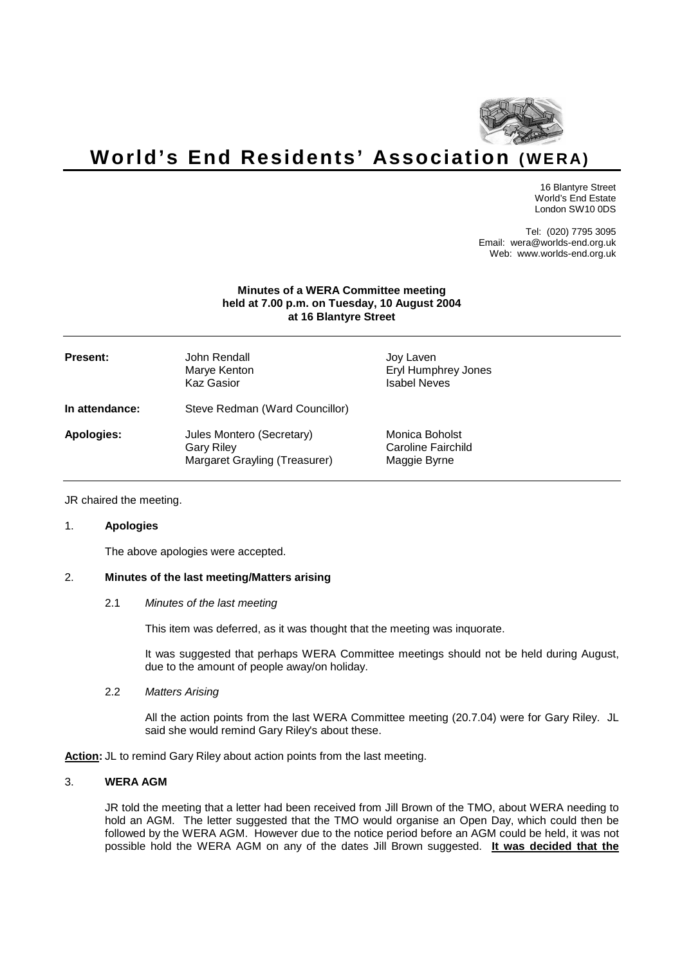

# **World's End Residents' Association (WE RA)**

16 Blantyre Street World's End Estate London SW10 0DS

Tel: (020) 7795 3095 Email: wera@worlds-end.org.uk Web: www.worlds-end.org.uk

#### **Minutes of a WERA Committee meeting held at 7.00 p.m. on Tuesday, 10 August 2004 at 16 Blantyre Street**

| <b>Present:</b> | John Rendall<br>Marye Kenton<br><b>Kaz Gasior</b>                               | Joy Laven<br>Eryl Humphrey Jones<br><b>Isabel Neves</b> |
|-----------------|---------------------------------------------------------------------------------|---------------------------------------------------------|
| In attendance:  | Steve Redman (Ward Councillor)                                                  |                                                         |
| Apologies:      | Jules Montero (Secretary)<br><b>Gary Riley</b><br>Margaret Grayling (Treasurer) | Monica Boholst<br>Caroline Fairchild<br>Maggie Byrne    |

JR chaired the meeting.

# 1. **Apologies**

The above apologies were accepted.

# 2. **Minutes of the last meeting/Matters arising**

#### 2.1 Minutes of the last meeting

This item was deferred, as it was thought that the meeting was inquorate.

It was suggested that perhaps WERA Committee meetings should not be held during August, due to the amount of people away/on holiday.

#### 2.2 Matters Arising

All the action points from the last WERA Committee meeting (20.7.04) were for Gary Riley. JL said she would remind Gary Riley's about these.

Action: JL to remind Gary Riley about action points from the last meeting.

#### 3. **WERA AGM**

JR told the meeting that a letter had been received from Jill Brown of the TMO, about WERA needing to hold an AGM. The letter suggested that the TMO would organise an Open Day, which could then be followed by the WERA AGM. However due to the notice period before an AGM could be held, it was not possible hold the WERA AGM on any of the dates Jill Brown suggested. **It was decided that the**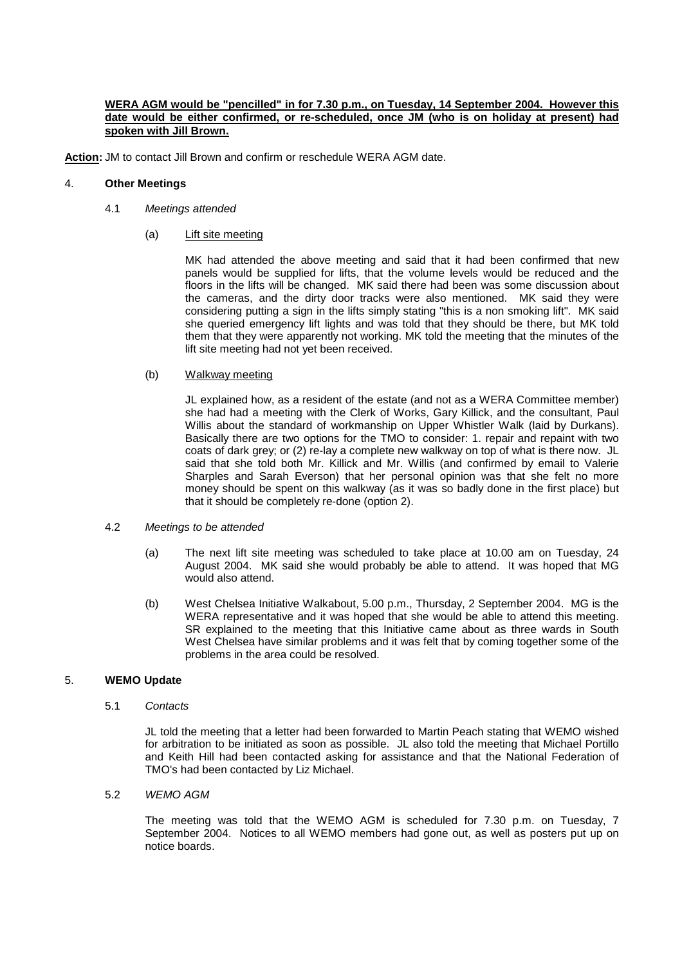## **WERA AGM would be "pencilled" in for 7.30 p.m., on Tuesday, 14 September 2004. However this date would be either confirmed, or re-scheduled, once JM (who is on holiday at present) had spoken with Jill Brown.**

**Action:** JM to contact Jill Brown and confirm or reschedule WERA AGM date.

## 4. **Other Meetings**

- 4.1 Meetings attended
	- (a) Lift site meeting

MK had attended the above meeting and said that it had been confirmed that new panels would be supplied for lifts, that the volume levels would be reduced and the floors in the lifts will be changed. MK said there had been was some discussion about the cameras, and the dirty door tracks were also mentioned. MK said they were considering putting a sign in the lifts simply stating "this is a non smoking lift". MK said she queried emergency lift lights and was told that they should be there, but MK told them that they were apparently not working. MK told the meeting that the minutes of the lift site meeting had not yet been received.

#### (b) Walkway meeting

JL explained how, as a resident of the estate (and not as a WERA Committee member) she had had a meeting with the Clerk of Works, Gary Killick, and the consultant, Paul Willis about the standard of workmanship on Upper Whistler Walk (laid by Durkans). Basically there are two options for the TMO to consider: 1. repair and repaint with two coats of dark grey; or (2) re-lay a complete new walkway on top of what is there now. JL said that she told both Mr. Killick and Mr. Willis (and confirmed by email to Valerie Sharples and Sarah Everson) that her personal opinion was that she felt no more money should be spent on this walkway (as it was so badly done in the first place) but that it should be completely re-done (option 2).

- 4.2 Meetings to be attended
	- (a) The next lift site meeting was scheduled to take place at 10.00 am on Tuesday, 24 August 2004. MK said she would probably be able to attend. It was hoped that MG would also attend.
	- (b) West Chelsea Initiative Walkabout, 5.00 p.m., Thursday, 2 September 2004. MG is the WERA representative and it was hoped that she would be able to attend this meeting. SR explained to the meeting that this Initiative came about as three wards in South West Chelsea have similar problems and it was felt that by coming together some of the problems in the area could be resolved.

## 5. **WEMO Update**

5.1 Contacts

JL told the meeting that a letter had been forwarded to Martin Peach stating that WEMO wished for arbitration to be initiated as soon as possible. JL also told the meeting that Michael Portillo and Keith Hill had been contacted asking for assistance and that the National Federation of TMO's had been contacted by Liz Michael.

5.2 WEMO AGM

The meeting was told that the WEMO AGM is scheduled for 7.30 p.m. on Tuesday, 7 September 2004. Notices to all WEMO members had gone out, as well as posters put up on notice boards.